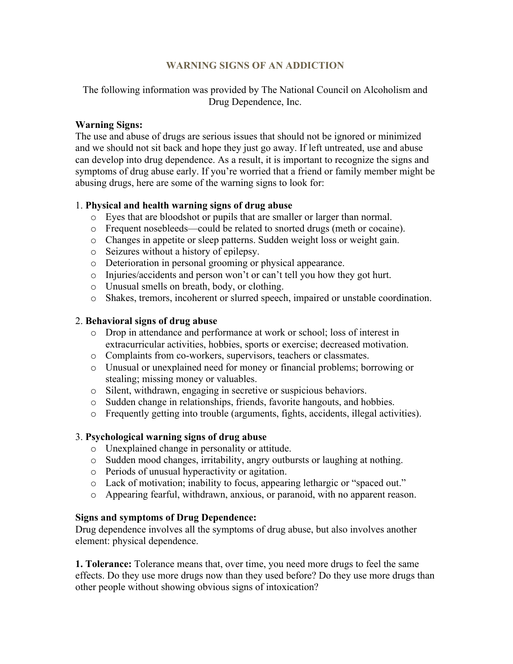### **WARNING SIGNS OF AN ADDICTION**

The following information was provided by The National Council on Alcoholism and Drug Dependence, Inc.

#### **Warning Signs:**

The use and abuse of drugs are serious issues that should not be ignored or minimized and we should not sit back and hope they just go away. If left untreated, use and abuse can develop into drug dependence. As a result, it is important to recognize the signs and symptoms of drug abuse early. If you're worried that a friend or family member might be abusing drugs, here are some of the warning signs to look for:

### 1. **Physical and health warning signs of drug abuse**

- o Eyes that are bloodshot or pupils that are smaller or larger than normal.
- o Frequent nosebleeds—could be related to snorted drugs (meth or cocaine).
- o Changes in appetite or sleep patterns. Sudden weight loss or weight gain.
- o Seizures without a history of epilepsy.
- o Deterioration in personal grooming or physical appearance.
- o Injuries/accidents and person won't or can't tell you how they got hurt.
- o Unusual smells on breath, body, or clothing.
- o Shakes, tremors, incoherent or slurred speech, impaired or unstable coordination.

## 2. **Behavioral signs of drug abuse**

- o Drop in attendance and performance at work or school; loss of interest in extracurricular activities, hobbies, sports or exercise; decreased motivation.
- o Complaints from co-workers, supervisors, teachers or classmates.
- o Unusual or unexplained need for money or financial problems; borrowing or stealing; missing money or valuables.
- o Silent, withdrawn, engaging in secretive or suspicious behaviors.
- o Sudden change in relationships, friends, favorite hangouts, and hobbies.
- o Frequently getting into trouble (arguments, fights, accidents, illegal activities).

# 3. **Psychological warning signs of drug abuse**

- o Unexplained change in personality or attitude.
- o Sudden mood changes, irritability, angry outbursts or laughing at nothing.
- o Periods of unusual hyperactivity or agitation.
- o Lack of motivation; inability to focus, appearing lethargic or "spaced out."
- o Appearing fearful, withdrawn, anxious, or paranoid, with no apparent reason.

### **Signs and symptoms of Drug Dependence:**

Drug dependence involves all the symptoms of drug abuse, but also involves another element: physical dependence.

**1. Tolerance:** Tolerance means that, over time, you need more drugs to feel the same effects. Do they use more drugs now than they used before? Do they use more drugs than other people without showing obvious signs of intoxication?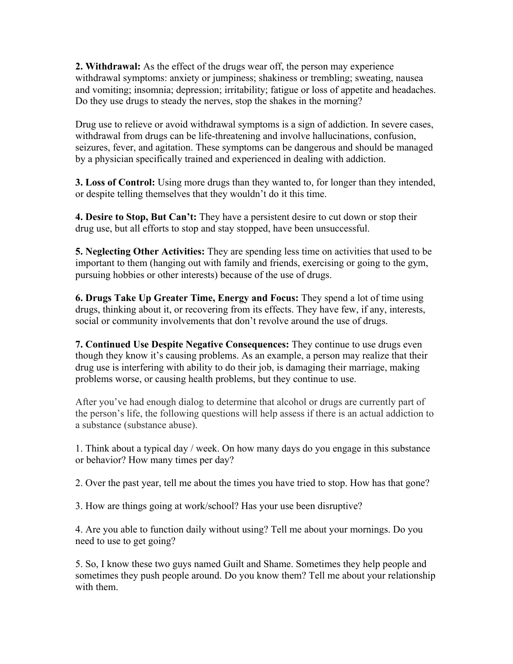**2. Withdrawal:** As the effect of the drugs wear off, the person may experience withdrawal symptoms: anxiety or jumpiness; shakiness or trembling; sweating, nausea and vomiting; insomnia; depression; irritability; fatigue or loss of appetite and headaches. Do they use drugs to steady the nerves, stop the shakes in the morning?

Drug use to relieve or avoid withdrawal symptoms is a sign of addiction. In severe cases, withdrawal from drugs can be life-threatening and involve hallucinations, confusion, seizures, fever, and agitation. These symptoms can be dangerous and should be managed by a physician specifically trained and experienced in dealing with addiction.

**3. Loss of Control:** Using more drugs than they wanted to, for longer than they intended, or despite telling themselves that they wouldn't do it this time.

**4. Desire to Stop, But Can't:** They have a persistent desire to cut down or stop their drug use, but all efforts to stop and stay stopped, have been unsuccessful.

**5. Neglecting Other Activities:** They are spending less time on activities that used to be important to them (hanging out with family and friends, exercising or going to the gym, pursuing hobbies or other interests) because of the use of drugs.

**6. Drugs Take Up Greater Time, Energy and Focus:** They spend a lot of time using drugs, thinking about it, or recovering from its effects. They have few, if any, interests, social or community involvements that don't revolve around the use of drugs.

**7. Continued Use Despite Negative Consequences:** They continue to use drugs even though they know it's causing problems. As an example, a person may realize that their drug use is interfering with ability to do their job, is damaging their marriage, making problems worse, or causing health problems, but they continue to use.

After you've had enough dialog to determine that alcohol or drugs are currently part of the person's life, the following questions will help assess if there is an actual addiction to a substance (substance abuse).

1. Think about a typical day / week. On how many days do you engage in this substance or behavior? How many times per day?

2. Over the past year, tell me about the times you have tried to stop. How has that gone?

3. How are things going at work/school? Has your use been disruptive?

4. Are you able to function daily without using? Tell me about your mornings. Do you need to use to get going?

5. So, I know these two guys named Guilt and Shame. Sometimes they help people and sometimes they push people around. Do you know them? Tell me about your relationship with them.